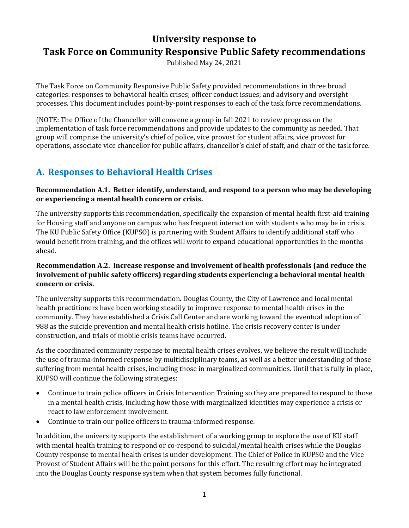# **University response to Task Force on Community Responsive Public Safety recommendations**

Published May 24, 2021

The Task Force on Community Responsive Public Safety provided recommendations in three broad categories: responses to behavioral health crises; officer conduct issues; and advisory and oversight processes. This document includes point-by-point responses to each of the task force recommendations.

(NOTE: The Office of the Chancellor will convene a group in fall 2021 to review progress on the implementation of task force recommendations and provide updates to the community as needed. That group will comprise the university's chief of police, vice provost for student affairs, vice provost for operations, associate vice chancellor for public affairs, chancellor's chief of staff, and chair of the task force.

# **A. Responses to Behavioral Health Crises**

**Recommendation A.1. Better identify, understand, and respond to a person who may be developing or experiencing a mental health concern or crisis.**

The university supports this recommendation, specifically the expansion of mental health first-aid training for Housing staff and anyone on campus who has frequent interaction with students who may be in crisis. The KU Public Safety Office (KUPSO) is partnering with Student Affairs to identify additional staff who would benefit from training, and the offices will work to expand educational opportunities in the months ahead.

# **Recommendation A.2. Increase response and involvement of health professionals (and reduce the involvement of public safety officers) regarding students experiencing a behavioral mental health concern or crisis.**

The university supports this recommendation. Douglas County, the City of Lawrence and local mental health practitioners have been working steadily to improve response to mental health crises in the community. They have established a Crisis Call Center and are working toward the eventual adoption of 988 as the suicide prevention and mental health crisis hotline. The crisis recovery center is under construction, and trials of mobile crisis teams have occurred.

As the coordinated community response to mental health crises evolves, we believe the result will include the use of trauma-informed response by multidisciplinary teams, as well as a better understanding of those suffering from mental health crises, including those in marginalized communities. Until that is fully in place, KUPSO will continue the following strategies:

- Continue to train police officers in Crisis Intervention Training so they are prepared to respond to those in a mental health crisis, including how those with marginalized identities may experience a crisis or react to law enforcement involvement.
- Continue to train our police officers in trauma-informed response.

In addition, the university supports the establishment of a working group to explore the use of KU staff with mental health training to respond or co-respond to suicidal/mental health crises while the Douglas County response to mental health crises is under development. The Chief of Police in KUPSO and the Vice Provost of Student Affairs will be the point persons for this effort. The resulting effort may be integrated into the Douglas County response system when that system becomes fully functional.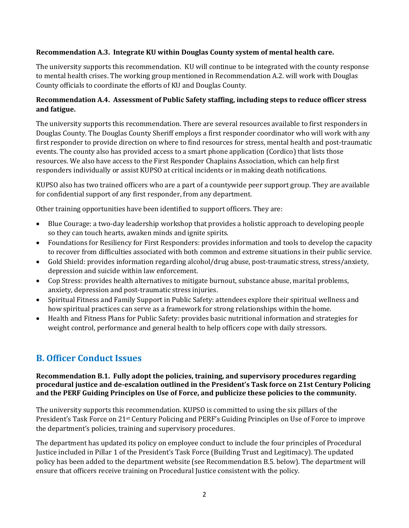### **Recommendation A.3. Integrate KU within Douglas County system of mental health care.**

The university supports this recommendation. KU will continue to be integrated with the county response to mental health crises. The working group mentioned in Recommendation A.2. will work with Douglas County officials to coordinate the efforts of KU and Douglas County.

# **Recommendation A.4. Assessment of Public Safety staffing, including steps to reduce officer stress and fatigue.**

The university supports this recommendation. There are several resources available to first responders in Douglas County. The Douglas County Sheriff employs a first responder coordinator who will work with any first responder to provide direction on where to find resources for stress, mental health and post-traumatic events. The county also has provided access to a smart phone application (Cordico) that lists those resources. We also have access to the First Responder Chaplains Association, which can help first responders individually or assist KUPSO at critical incidents or in making death notifications.

KUPSO also has two trained officers who are a part of a countywide peer support group. They are available for confidential support of any first responder, from any department.

Other training opportunities have been identified to support officers. They are:

- Blue Courage: a two-day leadership workshop that provides a holistic approach to developing people so they can touch hearts, awaken minds and ignite spirits.
- Foundations for Resiliency for First Responders: provides information and tools to develop the capacity to recover from difficulties associated with both common and extreme situations in their public service.
- Gold Shield: provides information regarding alcohol/drug abuse, post-traumatic stress, stress/anxiety, depression and suicide within law enforcement.
- Cop Stress: provides health alternatives to mitigate burnout, substance abuse, marital problems, anxiety, depression and post-traumatic stress injuries.
- Spiritual Fitness and Family Support in Public Safety: attendees explore their spiritual wellness and how spiritual practices can serve as a framework for strong relationships within the home.
- Health and Fitness Plans for Public Safety: provides basic nutritional information and strategies for weight control, performance and general health to help officers cope with daily stressors.

# **B. Officer Conduct Issues**

#### **Recommendation B.1. Fully adopt the policies, training, and supervisory procedures regarding procedural justice and de-escalation outlined in the President's Task force on 21st Century Policing and the PERF Guiding Principles on Use of Force, and publicize these policies to the community.**

The university supports this recommendation. KUPSO is committed to using the six pillars of the President's Task Force on 21st Century Policing and PERF's Guiding Principles on Use of Force to improve the department's policies, training and supervisory procedures.

The department has updated its policy on employee conduct to include the four principles of Procedural Justice included in Pillar 1 of the President's Task Force (Building Trust and Legitimacy). The updated policy has been added to the department website (see Recommendation B.5. below). The department will ensure that officers receive training on Procedural Justice consistent with the policy.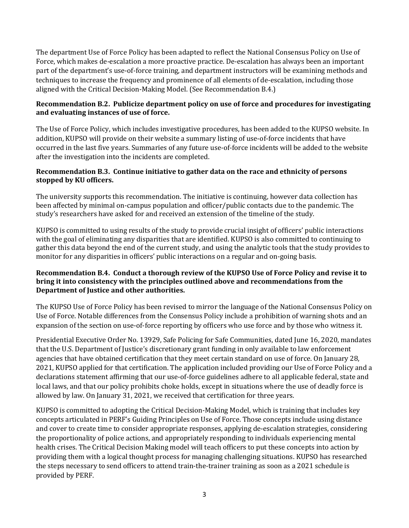The department Use of Force Policy has been adapted to reflect the National Consensus Policy on Use of Force, which makes de-escalation a more proactive practice. De-escalation has always been an important part of the department's use-of-force training, and department instructors will be examining methods and techniques to increase the frequency and prominence of all elements of de-escalation, including those aligned with the Critical Decision-Making Model. (See Recommendation B.4.)

### **Recommendation B.2. Publicize department policy on use of force and procedures for investigating and evaluating instances of use of force.**

The Use of Force Policy, which includes investigative procedures, has been added to the KUPSO website. In addition, KUPSO will provide on their website a summary listing of use-of-force incidents that have occurred in the last five years. Summaries of any future use-of-force incidents will be added to the website after the investigation into the incidents are completed.

## **Recommendation B.3. Continue initiative to gather data on the race and ethnicity of persons stopped by KU officers.**

The university supports this recommendation. The initiative is continuing, however data collection has been affected by minimal on-campus population and officer/public contacts due to the pandemic. The study's researchers have asked for and received an extension of the timeline of the study.

KUPSO is committed to using results of the study to provide crucial insight of officers' public interactions with the goal of eliminating any disparities that are identified. KUPSO is also committed to continuing to gather this data beyond the end of the current study, and using the analytic tools that the study provides to monitor for any disparities in officers' public interactions on a regular and on-going basis.

#### **Recommendation B.4. Conduct a thorough review of the KUPSO Use of Force Policy and revise it to bring it into consistency with the principles outlined above and recommendations from the Department of Justice and other authorities.**

The KUPSO Use of Force Policy has been revised to mirror the language of the National Consensus Policy on Use of Force. Notable differences from the Consensus Policy include a prohibition of warning shots and an expansion of the section on use-of-force reporting by officers who use force and by those who witness it.

Presidential Executive Order No. 13929, Safe Policing for Safe Communities, dated June 16, 2020, mandates that the U.S. Department of Justice's discretionary grant funding in only available to law enforcement agencies that have obtained certification that they meet certain standard on use of force. On January 28, 2021, KUPSO applied for that certification. The application included providing our Use of Force Policy and a declarations statement affirming that our use-of-force guidelines adhere to all applicable federal, state and local laws, and that our policy prohibits choke holds, except in situations where the use of deadly force is allowed by law. On January 31, 2021, we received that certification for three years.

KUPSO is committed to adopting the Critical Decision-Making Model, which is training that includes key concepts articulated in PERF's Guiding Principles on Use of Force. Those concepts include using distance and cover to create time to consider appropriate responses, applying de-escalation strategies, considering the proportionality of police actions, and appropriately responding to individuals experiencing mental health crises. The Critical Decision Making model will teach officers to put these concepts into action by providing them with a logical thought process for managing challenging situations. KUPSO has researched the steps necessary to send officers to attend train-the-trainer training as soon as a 2021 schedule is provided by PERF.